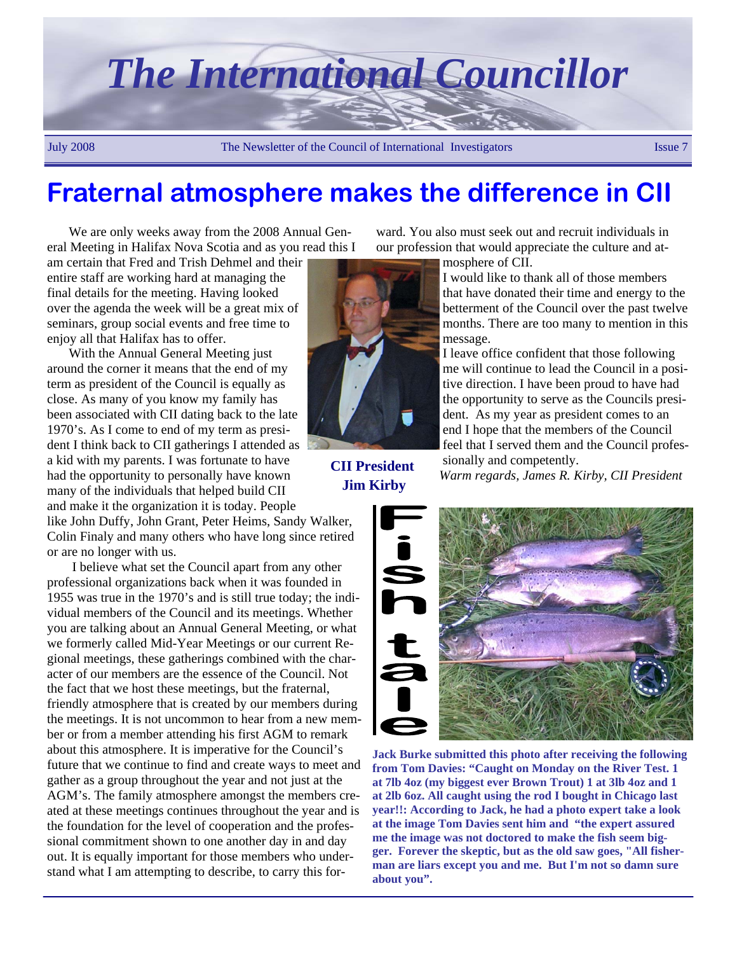

### **Fraternal atmosphere makes the difference in CII**

We are only weeks away from the 2008 Annual General Meeting in Halifax Nova Scotia and as you read this I

am certain that Fred and Trish Dehmel and their entire staff are working hard at managing the final details for the meeting. Having looked over the agenda the week will be a great mix of seminars, group social events and free time to enjoy all that Halifax has to offer.

With the Annual General Meeting just around the corner it means that the end of my term as president of the Council is equally as close. As many of you know my family has been associated with CII dating back to the late 1970's. As I come to end of my term as president I think back to CII gatherings I attended as a kid with my parents. I was fortunate to have had the opportunity to personally have known many of the individuals that helped build CII and make it the organization it is today. People

like John Duffy, John Grant, Peter Heims, Sandy Walker, Colin Finaly and many others who have long since retired or are no longer with us.

 I believe what set the Council apart from any other professional organizations back when it was founded in 1955 was true in the 1970's and is still true today; the individual members of the Council and its meetings. Whether you are talking about an Annual General Meeting, or what we formerly called Mid-Year Meetings or our current Regional meetings, these gatherings combined with the character of our members are the essence of the Council. Not the fact that we host these meetings, but the fraternal, friendly atmosphere that is created by our members during the meetings. It is not uncommon to hear from a new member or from a member attending his first AGM to remark about this atmosphere. It is imperative for the Council's future that we continue to find and create ways to meet and gather as a group throughout the year and not just at the AGM's. The family atmosphere amongst the members created at these meetings continues throughout the year and is the foundation for the level of cooperation and the professional commitment shown to one another day in and day out. It is equally important for those members who understand what I am attempting to describe, to carry this for-



**CII President Jim Kirby** 

ward. You also must seek out and recruit individuals in our profession that would appreciate the culture and at-

mosphere of CII.

I would like to thank all of those members that have donated their time and energy to the betterment of the Council over the past twelve months. There are too many to mention in this message.

I leave office confident that those following me will continue to lead the Council in a positive direction. I have been proud to have had the opportunity to serve as the Councils president. As my year as president comes to an end I hope that the members of the Council feel that I served them and the Council professionally and competently.

*Warm regards, James R. Kirby, CII President* 



**Jack Burke submitted this photo after receiving the following from Tom Davies: "Caught on Monday on the River Test. 1 at 7lb 4oz (my biggest ever Brown Trout) 1 at 3lb 4oz and 1 at 2lb 6oz. All caught using the rod I bought in Chicago last year!!: According to Jack, he had a photo expert take a look at the image Tom Davies sent him and "the expert assured me the image was not doctored to make the fish seem bigger. Forever the skeptic, but as the old saw goes, "All fisherman are liars except you and me. But I'm not so damn sure about you".**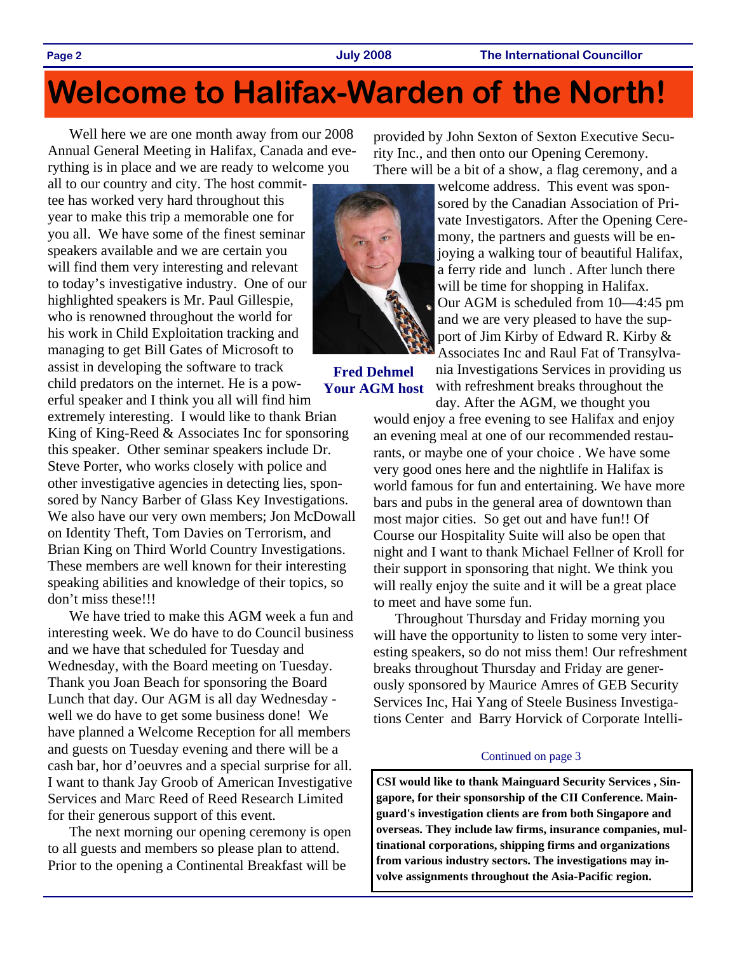**Page 2 July 2008 The International Councillor** 

## **Welcome to Halifax-Warden of the North!**

Well here we are one month away from our 2008 Annual General Meeting in Halifax, Canada and everything is in place and we are ready to welcome you

all to our country and city. The host committee has worked very hard throughout this year to make this trip a memorable one for you all. We have some of the finest seminar speakers available and we are certain you will find them very interesting and relevant to today's investigative industry. One of our highlighted speakers is Mr. Paul Gillespie, who is renowned throughout the world for his work in Child Exploitation tracking and managing to get Bill Gates of Microsoft to assist in developing the software to track

child predators on the internet. He is a powerful speaker and I think you all will find him extremely interesting. I would like to thank Brian King of King-Reed & Associates Inc for sponsoring this speaker. Other seminar speakers include Dr. Steve Porter, who works closely with police and other investigative agencies in detecting lies, sponsored by Nancy Barber of Glass Key Investigations. We also have our very own members; Jon McDowall on Identity Theft, Tom Davies on Terrorism, and Brian King on Third World Country Investigations. These members are well known for their interesting speaking abilities and knowledge of their topics, so don't miss these!!!

We have tried to make this AGM week a fun and interesting week. We do have to do Council business and we have that scheduled for Tuesday and Wednesday, with the Board meeting on Tuesday. Thank you Joan Beach for sponsoring the Board Lunch that day. Our AGM is all day Wednesday well we do have to get some business done! We have planned a Welcome Reception for all members and guests on Tuesday evening and there will be a cash bar, hor d'oeuvres and a special surprise for all. I want to thank Jay Groob of American Investigative Services and Marc Reed of Reed Research Limited for their generous support of this event.

The next morning our opening ceremony is open to all guests and members so please plan to attend. Prior to the opening a Continental Breakfast will be

provided by John Sexton of Sexton Executive Security Inc., and then onto our Opening Ceremony. There will be a bit of a show, a flag ceremony, and a



**Fred Dehmel Your AGM host**  welcome address. This event was sponsored by the Canadian Association of Private Investigators. After the Opening Ceremony, the partners and guests will be enjoying a walking tour of beautiful Halifax, a ferry ride and lunch . After lunch there will be time for shopping in Halifax. Our AGM is scheduled from 10—4:45 pm and we are very pleased to have the support of Jim Kirby of Edward R. Kirby & Associates Inc and Raul Fat of Transylva-

nia Investigations Services in providing us with refreshment breaks throughout the day. After the AGM, we thought you

would enjoy a free evening to see Halifax and enjoy an evening meal at one of our recommended restaurants, or maybe one of your choice . We have some very good ones here and the nightlife in Halifax is world famous for fun and entertaining. We have more bars and pubs in the general area of downtown than most major cities. So get out and have fun!! Of Course our Hospitality Suite will also be open that night and I want to thank Michael Fellner of Kroll for their support in sponsoring that night. We think you will really enjoy the suite and it will be a great place to meet and have some fun.

Throughout Thursday and Friday morning you will have the opportunity to listen to some very interesting speakers, so do not miss them! Our refreshment breaks throughout Thursday and Friday are generously sponsored by Maurice Amres of GEB Security Services Inc, Hai Yang of Steele Business Investigations Center and Barry Horvick of Corporate Intelli-

#### Continued on page 3

**CSI would like to thank Mainguard Security Services , Singapore, for their sponsorship of the CII Conference. Mainguard's investigation clients are from both Singapore and overseas. They include law firms, insurance companies, multinational corporations, shipping firms and organizations from various industry sectors. The investigations may involve assignments throughout the Asia-Pacific region.**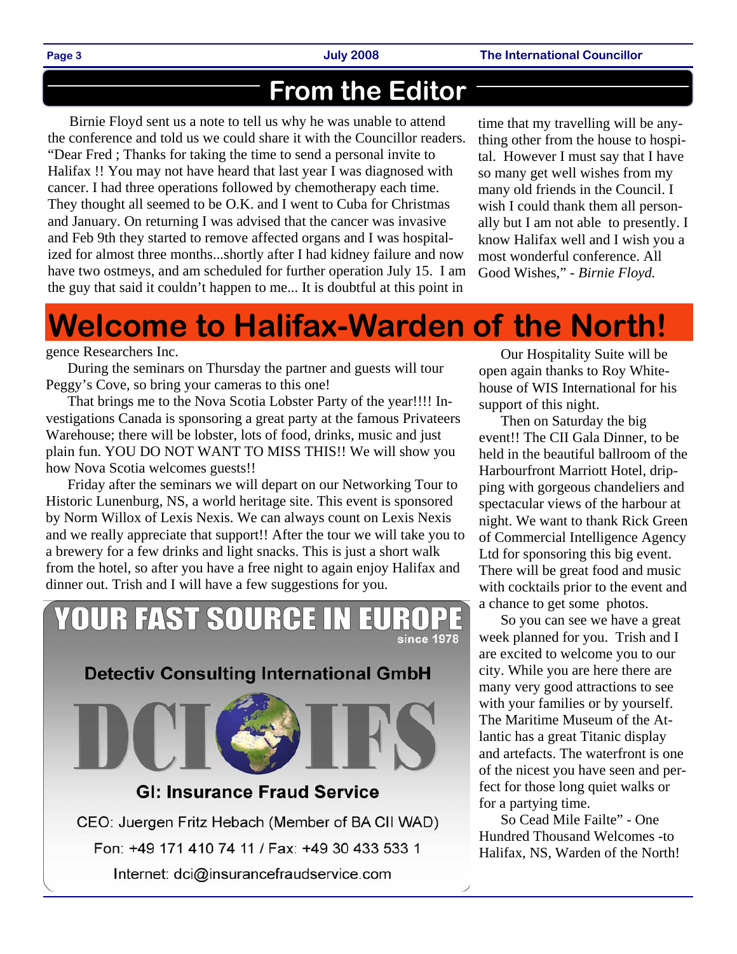### **From the Editor**

Birnie Floyd sent us a note to tell us why he was unable to attend the conference and told us we could share it with the Councillor readers. "Dear Fred ; Thanks for taking the time to send a personal invite to Halifax !! You may not have heard that last year I was diagnosed with cancer. I had three operations followed by chemotherapy each time. They thought all seemed to be O.K. and I went to Cuba for Christmas and January. On returning I was advised that the cancer was invasive and Feb 9th they started to remove affected organs and I was hospitalized for almost three months...shortly after I had kidney failure and now have two ostmeys, and am scheduled for further operation July 15. I am the guy that said it couldn't happen to me... It is doubtful at this point in

time that my travelling will be anything other from the house to hospital. However I must say that I have so many get well wishes from my many old friends in the Council. I wish I could thank them all personally but I am not able to presently. I know Halifax well and I wish you a most wonderful conference. All Good Wishes," *- Birnie Floyd.* 

## **Welcome to Halifax-Warden of the North!**

#### gence Researchers Inc.

During the seminars on Thursday the partner and guests will tour Peggy's Cove, so bring your cameras to this one!

That brings me to the Nova Scotia Lobster Party of the year!!!! Investigations Canada is sponsoring a great party at the famous Privateers Warehouse; there will be lobster, lots of food, drinks, music and just plain fun. YOU DO NOT WANT TO MISS THIS!! We will show you how Nova Scotia welcomes guests!!

Friday after the seminars we will depart on our Networking Tour to Historic Lunenburg, NS, a world heritage site. This event is sponsored by Norm Willox of Lexis Nexis. We can always count on Lexis Nexis and we really appreciate that support!! After the tour we will take you to a brewery for a few drinks and light snacks. This is just a short walk from the hotel, so after you have a free night to again enjoy Halifax and dinner out. Trish and I will have a few suggestions for you.

# YOUR FAST SOURCE IN EU since 1978 **Detectiv Consulting International GmbH GI: Insurance Fraud Service** CEO: Juergen Fritz Hebach (Member of BA CII WAD) Fon: +49 171 410 74 11 / Fax: +49 30 433 533 1

Internet: dci@insurancefraudservice.com

Our Hospitality Suite will be open again thanks to Roy Whitehouse of WIS International for his support of this night.

Then on Saturday the big event!! The CII Gala Dinner, to be held in the beautiful ballroom of the Harbourfront Marriott Hotel, dripping with gorgeous chandeliers and spectacular views of the harbour at night. We want to thank Rick Green of Commercial Intelligence Agency Ltd for sponsoring this big event. There will be great food and music with cocktails prior to the event and a chance to get some photos.

So you can see we have a great week planned for you. Trish and I are excited to welcome you to our city. While you are here there are many very good attractions to see with your families or by yourself. The Maritime Museum of the Atlantic has a great Titanic display and artefacts. The waterfront is one of the nicest you have seen and perfect for those long quiet walks or for a partying time.

So Cead Mile Failte" - One Hundred Thousand Welcomes -to Halifax, NS, Warden of the North!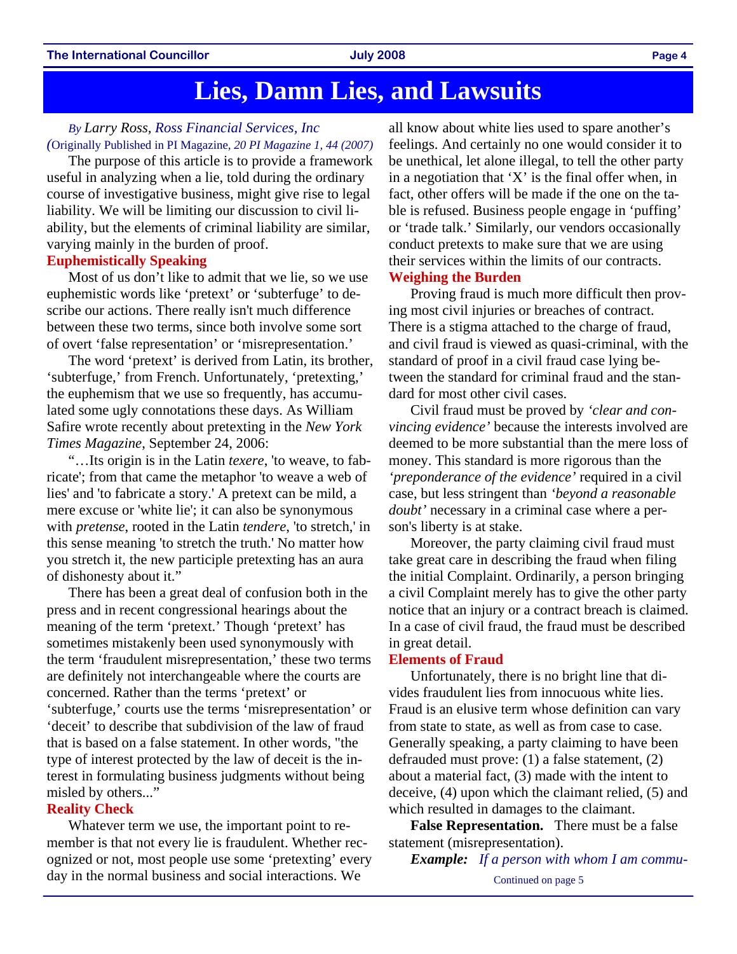### **Lies, Damn Lies, and Lawsuits**

#### *By Larry Ross, Ross Financial Services, Inc (*Originally Published in PI Magazine, *20 PI Magazine 1, 44 (2007)*

The purpose of this article is to provide a framework useful in analyzing when a lie, told during the ordinary course of investigative business, might give rise to legal liability. We will be limiting our discussion to civil liability, but the elements of criminal liability are similar, varying mainly in the burden of proof.

#### **Euphemistically Speaking**

Most of us don't like to admit that we lie, so we use euphemistic words like 'pretext' or 'subterfuge' to describe our actions. There really isn't much difference between these two terms, since both involve some sort of overt 'false representation' or 'misrepresentation.'

The word 'pretext' is derived from Latin, its brother, 'subterfuge,' from French. Unfortunately, 'pretexting,' the euphemism that we use so frequently, has accumulated some ugly connotations these days. As William Safire wrote recently about pretexting in the *New York Times Magazine*, September 24, 2006:

"…Its origin is in the Latin *texere*, 'to weave, to fabricate'; from that came the metaphor 'to weave a web of lies' and 'to fabricate a story.' A pretext can be mild, a mere excuse or 'white lie'; it can also be synonymous with *pretense*, rooted in the Latin *tendere*, 'to stretch,' in this sense meaning 'to stretch the truth.' No matter how you stretch it, the new participle pretexting has an aura of dishonesty about it."

There has been a great deal of confusion both in the press and in recent congressional hearings about the meaning of the term 'pretext.' Though 'pretext' has sometimes mistakenly been used synonymously with the term 'fraudulent misrepresentation,' these two terms are definitely not interchangeable where the courts are concerned. Rather than the terms 'pretext' or 'subterfuge,' courts use the terms 'misrepresentation' or 'deceit' to describe that subdivision of the law of fraud that is based on a false statement. In other words, "the type of interest protected by the law of deceit is the interest in formulating business judgments without being misled by others..."

#### **Reality Check**

Whatever term we use, the important point to remember is that not every lie is fraudulent. Whether recognized or not, most people use some 'pretexting' every day in the normal business and social interactions. We

all know about white lies used to spare another's feelings. And certainly no one would consider it to be unethical, let alone illegal, to tell the other party in a negotiation that 'X' is the final offer when, in fact, other offers will be made if the one on the table is refused. Business people engage in 'puffing' or 'trade talk.' Similarly, our vendors occasionally conduct pretexts to make sure that we are using their services within the limits of our contracts. **Weighing the Burden** 

Proving fraud is much more difficult then proving most civil injuries or breaches of contract. There is a stigma attached to the charge of fraud, and civil fraud is viewed as quasi-criminal, with the standard of proof in a civil fraud case lying between the standard for criminal fraud and the standard for most other civil cases.

Civil fraud must be proved by *'clear and convincing evidence'* because the interests involved are deemed to be more substantial than the mere loss of money. This standard is more rigorous than the *'preponderance of the evidence'* required in a civil case, but less stringent than *'beyond a reasonable doubt'* necessary in a criminal case where a person's liberty is at stake.

Moreover, the party claiming civil fraud must take great care in describing the fraud when filing the initial Complaint. Ordinarily, a person bringing a civil Complaint merely has to give the other party notice that an injury or a contract breach is claimed. In a case of civil fraud, the fraud must be described in great detail.

#### **Elements of Fraud**

Unfortunately, there is no bright line that divides fraudulent lies from innocuous white lies. Fraud is an elusive term whose definition can vary from state to state, as well as from case to case. Generally speaking, a party claiming to have been defrauded must prove: (1) a false statement, (2) about a material fact, (3) made with the intent to deceive, (4) upon which the claimant relied, (5) and which resulted in damages to the claimant.

**False Representation.** There must be a false statement (misrepresentation).

*Example: If a person with whom I am commu-*

Continued on page 5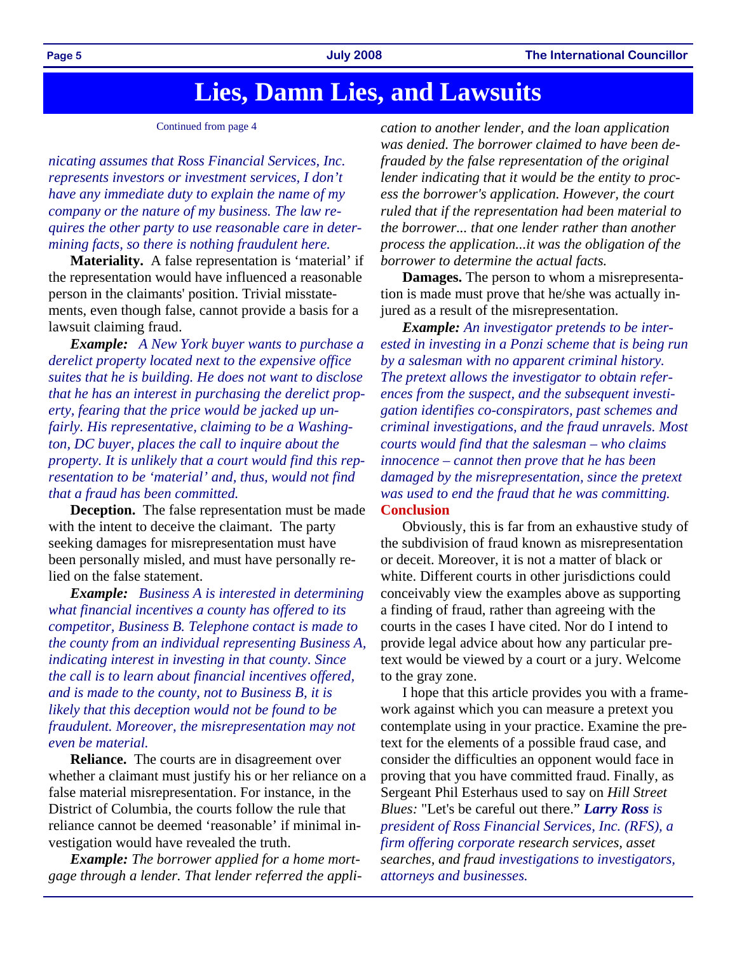### **Lies, Damn Lies, and Lawsuits**

#### Continued from page 4

*nicating assumes that Ross Financial Services, Inc. represents investors or investment services, I don't have any immediate duty to explain the name of my company or the nature of my business. The law requires the other party to use reasonable care in determining facts, so there is nothing fraudulent here.* 

**Materiality.** A false representation is 'material' if the representation would have influenced a reasonable person in the claimants' position. Trivial misstatements, even though false, cannot provide a basis for a lawsuit claiming fraud.

*Example: A New York buyer wants to purchase a derelict property located next to the expensive office suites that he is building. He does not want to disclose that he has an interest in purchasing the derelict property, fearing that the price would be jacked up unfairly. His representative, claiming to be a Washington, DC buyer, places the call to inquire about the property. It is unlikely that a court would find this representation to be 'material' and, thus, would not find that a fraud has been committed.*

**Deception.** The false representation must be made with the intent to deceive the claimant. The party seeking damages for misrepresentation must have been personally misled, and must have personally relied on the false statement.

*Example: Business A is interested in determining what financial incentives a county has offered to its competitor, Business B. Telephone contact is made to the county from an individual representing Business A, indicating interest in investing in that county. Since the call is to learn about financial incentives offered, and is made to the county, not to Business B, it is likely that this deception would not be found to be fraudulent. Moreover, the misrepresentation may not even be material.*

**Reliance.** The courts are in disagreement over whether a claimant must justify his or her reliance on a false material misrepresentation. For instance, in the District of Columbia, the courts follow the rule that reliance cannot be deemed 'reasonable' if minimal investigation would have revealed the truth.

*Example: The borrower applied for a home mortgage through a lender. That lender referred the appli-*

*cation to another lender, and the loan application was denied. The borrower claimed to have been defrauded by the false representation of the original lender indicating that it would be the entity to process the borrower's application. However, the court ruled that if the representation had been material to the borrower... that one lender rather than another process the application...it was the obligation of the borrower to determine the actual facts.* 

**Damages.** The person to whom a misrepresentation is made must prove that he/she was actually injured as a result of the misrepresentation.

*Example: An investigator pretends to be interested in investing in a Ponzi scheme that is being run by a salesman with no apparent criminal history. The pretext allows the investigator to obtain references from the suspect, and the subsequent investigation identifies co-conspirators, past schemes and criminal investigations, and the fraud unravels. Most courts would find that the salesman – who claims innocence – cannot then prove that he has been damaged by the misrepresentation, since the pretext was used to end the fraud that he was committing.*  **Conclusion** 

Obviously, this is far from an exhaustive study of the subdivision of fraud known as misrepresentation or deceit. Moreover, it is not a matter of black or white. Different courts in other jurisdictions could conceivably view the examples above as supporting a finding of fraud, rather than agreeing with the courts in the cases I have cited. Nor do I intend to provide legal advice about how any particular pretext would be viewed by a court or a jury. Welcome to the gray zone.

I hope that this article provides you with a framework against which you can measure a pretext you contemplate using in your practice. Examine the pretext for the elements of a possible fraud case, and consider the difficulties an opponent would face in proving that you have committed fraud. Finally, as Sergeant Phil Esterhaus used to say on *Hill Street Blues:* "Let's be careful out there." *Larry Ross is president of Ross Financial Services, Inc. (RFS), a firm offering corporate research services, asset searches, and fraud investigations to investigators, attorneys and businesses.*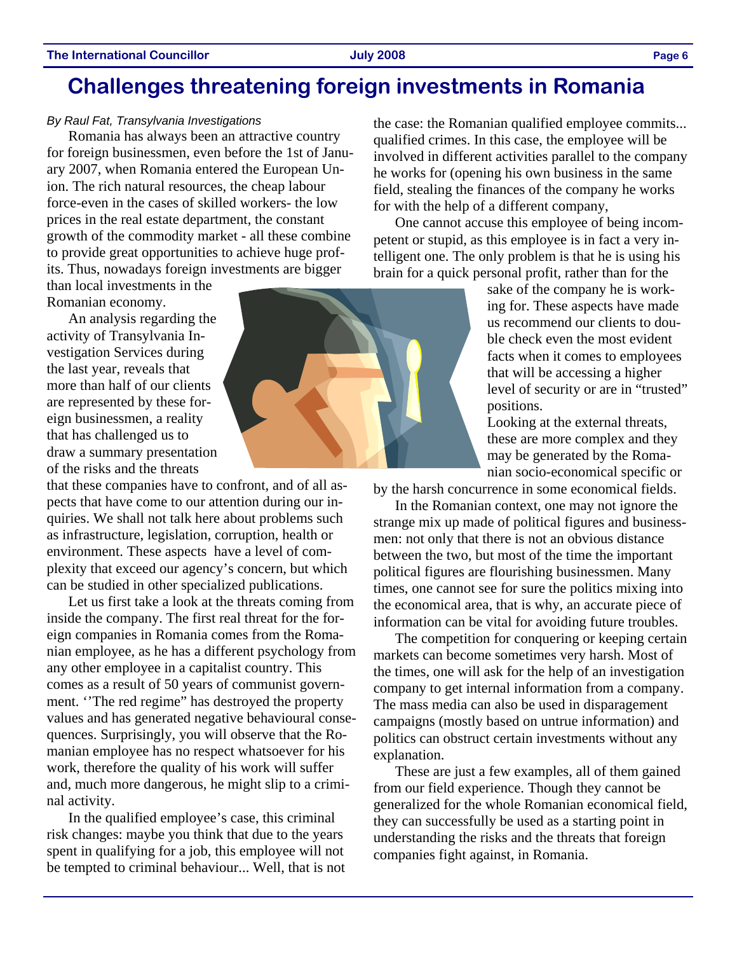#### **The International Councillor July 2008 Page 6**

### **Challenges threatening foreign investments in Romania**

#### *By Raul Fat, Transylvania Investigations*

Romania has always been an attractive country for foreign businessmen, even before the 1st of January 2007, when Romania entered the European Union. The rich natural resources, the cheap labour force-even in the cases of skilled workers- the low prices in the real estate department, the constant growth of the commodity market - all these combine to provide great opportunities to achieve huge profits. Thus, nowadays foreign investments are bigger

than local investments in the Romanian economy.

An analysis regarding the activity of Transylvania Investigation Services during the last year, reveals that more than half of our clients are represented by these foreign businessmen, a reality that has challenged us to draw a summary presentation of the risks and the threats

that these companies have to confront, and of all aspects that have come to our attention during our inquiries. We shall not talk here about problems such as infrastructure, legislation, corruption, health or environment. These aspects have a level of complexity that exceed our agency's concern, but which can be studied in other specialized publications.

Let us first take a look at the threats coming from inside the company. The first real threat for the foreign companies in Romania comes from the Romanian employee, as he has a different psychology from any other employee in a capitalist country. This comes as a result of 50 years of communist government. ''The red regime" has destroyed the property values and has generated negative behavioural consequences. Surprisingly, you will observe that the Romanian employee has no respect whatsoever for his work, therefore the quality of his work will suffer and, much more dangerous, he might slip to a criminal activity.

In the qualified employee's case, this criminal risk changes: maybe you think that due to the years spent in qualifying for a job, this employee will not be tempted to criminal behaviour... Well, that is not the case: the Romanian qualified employee commits... qualified crimes. In this case, the employee will be involved in different activities parallel to the company he works for (opening his own business in the same field, stealing the finances of the company he works for with the help of a different company,

One cannot accuse this employee of being incompetent or stupid, as this employee is in fact a very intelligent one. The only problem is that he is using his brain for a quick personal profit, rather than for the

> sake of the company he is working for. These aspects have made us recommend our clients to double check even the most evident facts when it comes to employees that will be accessing a higher level of security or are in "trusted" positions.

Looking at the external threats, these are more complex and they may be generated by the Romanian socio-economical specific or

by the harsh concurrence in some economical fields.

In the Romanian context, one may not ignore the strange mix up made of political figures and businessmen: not only that there is not an obvious distance between the two, but most of the time the important political figures are flourishing businessmen. Many times, one cannot see for sure the politics mixing into the economical area, that is why, an accurate piece of information can be vital for avoiding future troubles.

The competition for conquering or keeping certain markets can become sometimes very harsh. Most of the times, one will ask for the help of an investigation company to get internal information from a company. The mass media can also be used in disparagement campaigns (mostly based on untrue information) and politics can obstruct certain investments without any explanation.

These are just a few examples, all of them gained from our field experience. Though they cannot be generalized for the whole Romanian economical field, they can successfully be used as a starting point in understanding the risks and the threats that foreign companies fight against, in Romania.

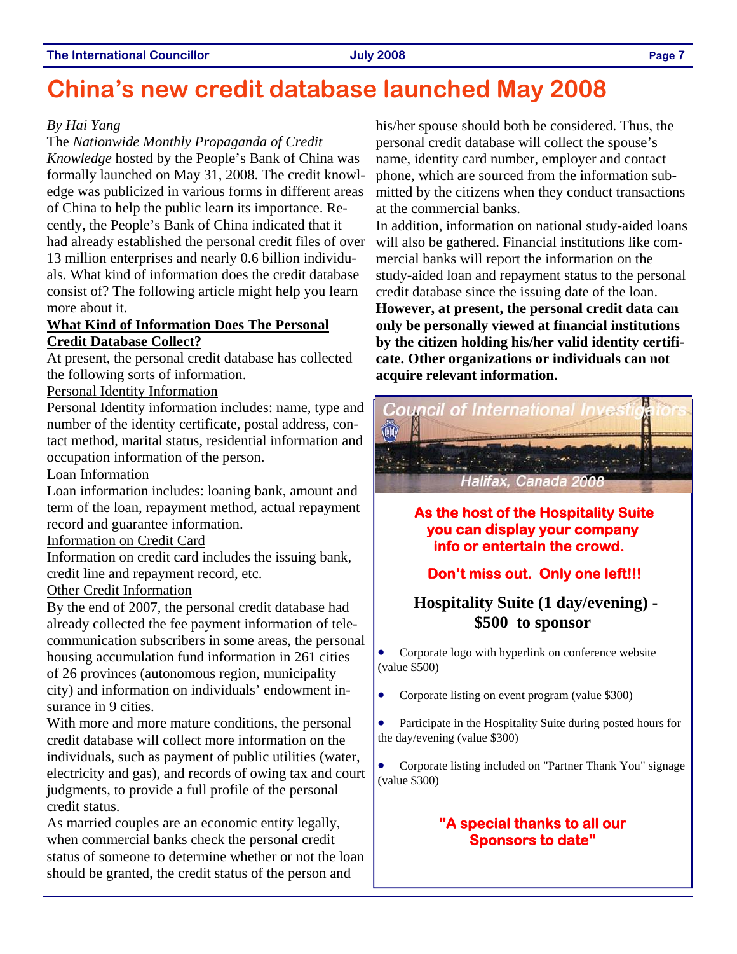### **China's new credit database launched May 2008**

#### *By Hai Yang*

The *Nationwide Monthly Propaganda of Credit Knowledge* hosted by the People's Bank of China was formally launched on May 31, 2008. The credit knowledge was publicized in various forms in different areas of China to help the public learn its importance. Recently, the People's Bank of China indicated that it had already established the personal credit files of over 13 million enterprises and nearly 0.6 billion individuals. What kind of information does the credit database consist of? The following article might help you learn more about it.

#### **What Kind of Information Does The Personal Credit Database Collect?**

At present, the personal credit database has collected the following sorts of information.

### Personal Identity Information

Personal Identity information includes: name, type and number of the identity certificate, postal address, contact method, marital status, residential information and occupation information of the person.

#### Loan Information

Loan information includes: loaning bank, amount and term of the loan, repayment method, actual repayment record and guarantee information.

#### Information on Credit Card

Information on credit card includes the issuing bank, credit line and repayment record, etc.

### Other Credit Information

By the end of 2007, the personal credit database had already collected the fee payment information of telecommunication subscribers in some areas, the personal housing accumulation fund information in 261 cities of 26 provinces (autonomous region, municipality city) and information on individuals' endowment insurance in 9 cities.

With more and more mature conditions, the personal credit database will collect more information on the individuals, such as payment of public utilities (water, electricity and gas), and records of owing tax and court judgments, to provide a full profile of the personal credit status.

As married couples are an economic entity legally, when commercial banks check the personal credit status of someone to determine whether or not the loan should be granted, the credit status of the person and

his/her spouse should both be considered. Thus, the personal credit database will collect the spouse's name, identity card number, employer and contact phone, which are sourced from the information submitted by the citizens when they conduct transactions at the commercial banks.

In addition, information on national study-aided loans will also be gathered. Financial institutions like commercial banks will report the information on the study-aided loan and repayment status to the personal credit database since the issuing date of the loan.

**However, at present, the personal credit data can only be personally viewed at financial institutions by the citizen holding his/her valid identity certificate. Other organizations or individuals can not acquire relevant information.** 



**As the host of the Hospitality Suite you can display your company info or entertain the crowd.** 

### **Don't miss out. Only one left!!!**

### **Hospitality Suite (1 day/evening) - \$500 to sponsor**

• Corporate logo with hyperlink on conference website (value \$500)

- Corporate listing on event program (value \$300)
- Participate in the Hospitality Suite during posted hours for the day/evening (value \$300)
- Corporate listing included on "Partner Thank You" signage (value \$300)

### **"A special thanks to all our Sponsors to date"**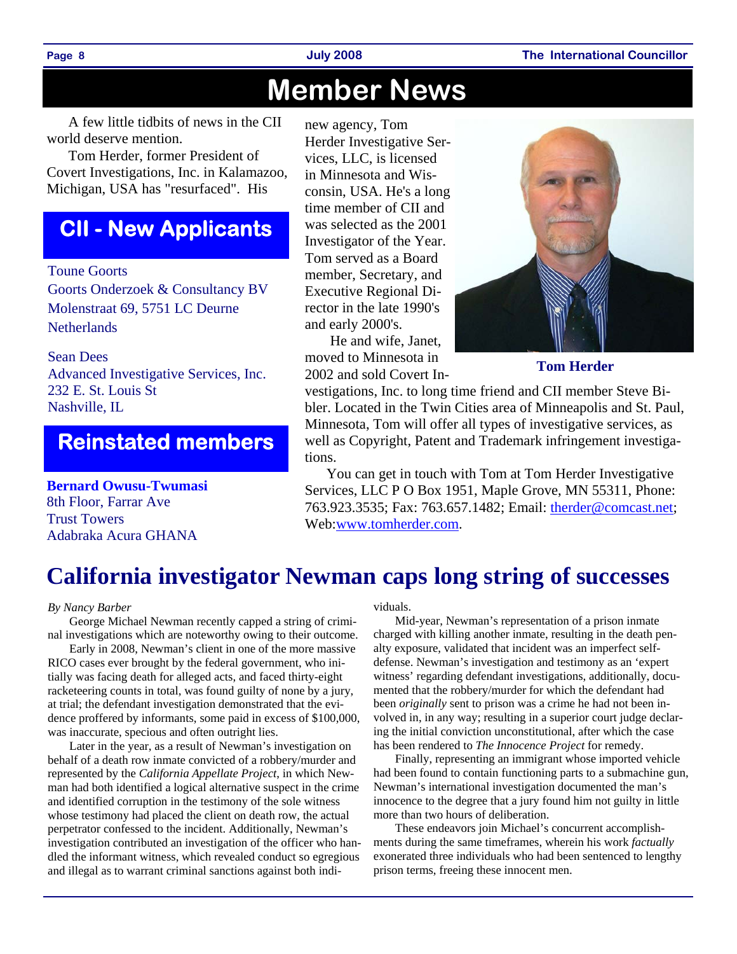## **Member News**

A few little tidbits of news in the CII world deserve mention.

Tom Herder, former President of Covert Investigations, Inc. in Kalamazoo, Michigan, USA has "resurfaced". His

### **CII - New Applicants**

Toune Goorts

Goorts Onderzoek & Consultancy BV Molenstraat 69, 5751 LC Deurne **Netherlands** 

Sean Dees Advanced Investigative Services, Inc. 232 E. St. Louis St Nashville, IL

### **Reinstated members**

**Bernard Owusu-Twumasi**  8th Floor, Farrar Ave Trust Towers Adabraka Acura GHANA

new agency, Tom Herder Investigative Services, LLC, is licensed in Minnesota and Wisconsin, USA. He's a long time member of CII and was selected as the 2001 Investigator of the Year. Tom served as a Board member, Secretary, and Executive Regional Director in the late 1990's and early 2000's.

 He and wife, Janet, moved to Minnesota in 2002 and sold Covert In-



**Tom Herder** 

vestigations, Inc. to long time friend and CII member Steve Bibler. Located in the Twin Cities area of Minneapolis and St. Paul, Minnesota, Tom will offer all types of investigative services, as well as Copyright, Patent and Trademark infringement investigations.

You can get in touch with Tom at Tom Herder Investigative Services, LLC P O Box 1951, Maple Grove, MN 55311, Phone: 763.923.3535; Fax: 763.657.1482; Email: therder@comcast.net; Web:www.tomherder.com.

### **California investigator Newman caps long string of successes**

#### *By Nancy Barber*

George Michael Newman recently capped a string of criminal investigations which are noteworthy owing to their outcome.

Early in 2008, Newman's client in one of the more massive RICO cases ever brought by the federal government, who initially was facing death for alleged acts, and faced thirty-eight racketeering counts in total, was found guilty of none by a jury, at trial; the defendant investigation demonstrated that the evidence proffered by informants, some paid in excess of \$100,000, was inaccurate, specious and often outright lies.

Later in the year, as a result of Newman's investigation on behalf of a death row inmate convicted of a robbery/murder and represented by the *California Appellate Project*, in which Newman had both identified a logical alternative suspect in the crime and identified corruption in the testimony of the sole witness whose testimony had placed the client on death row, the actual perpetrator confessed to the incident. Additionally, Newman's investigation contributed an investigation of the officer who handled the informant witness, which revealed conduct so egregious and illegal as to warrant criminal sanctions against both individuals.

Mid-year, Newman's representation of a prison inmate charged with killing another inmate, resulting in the death penalty exposure, validated that incident was an imperfect selfdefense. Newman's investigation and testimony as an 'expert witness' regarding defendant investigations, additionally, documented that the robbery/murder for which the defendant had been *originally* sent to prison was a crime he had not been involved in, in any way; resulting in a superior court judge declaring the initial conviction unconstitutional, after which the case has been rendered to *The Innocence Project* for remedy.

Finally, representing an immigrant whose imported vehicle had been found to contain functioning parts to a submachine gun, Newman's international investigation documented the man's innocence to the degree that a jury found him not guilty in little more than two hours of deliberation.

These endeavors join Michael's concurrent accomplishments during the same timeframes, wherein his work *factually*  exonerated three individuals who had been sentenced to lengthy prison terms, freeing these innocent men.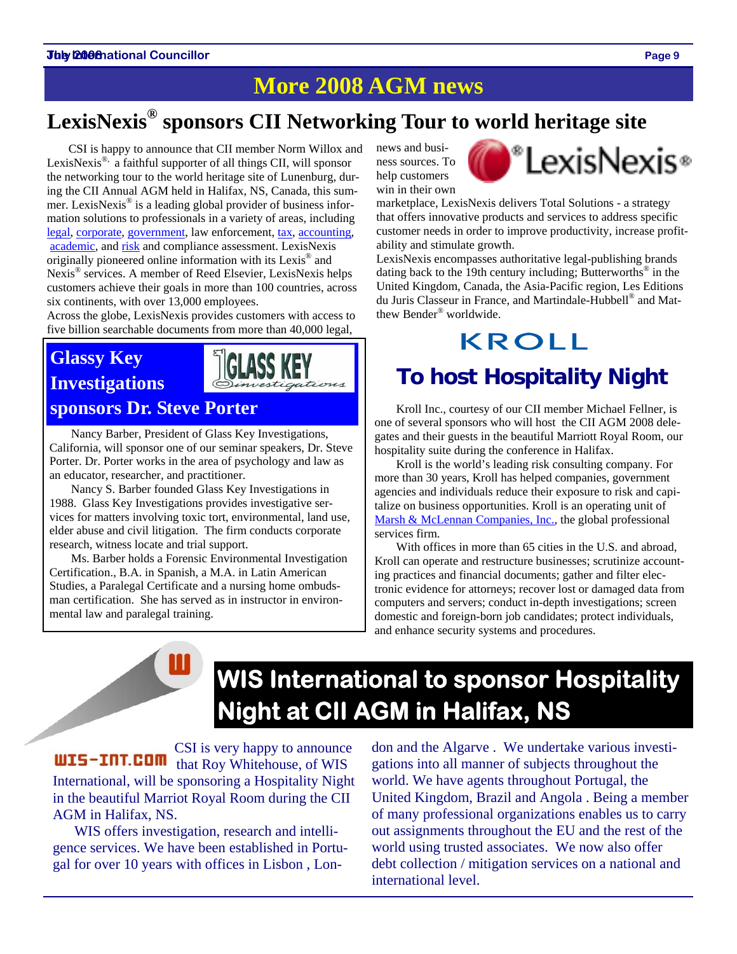### **More 2008 AGM news**

### **LexisNexis® sponsors CII Networking Tour to world heritage site**

CSI is happy to announce that CII member Norm Willox and LexisNexis<sup>®,</sup> a faithful supporter of all things CII, will sponsor the networking tour to the world heritage site of Lunenburg, during the CII Annual AGM held in Halifax, NS, Canada, this summer. LexisNexis® is a leading global provider of business information solutions to professionals in a variety of areas, including legal, corporate, government, law enforcement, tax, accounting, academic, and risk and compliance assessment. LexisNexis originally pioneered online information with its Lexis® and Nexis<sup>®</sup> services. A member of Reed Elsevier, LexisNexis helps customers achieve their goals in more than 100 countries, across six continents, with over 13,000 employees.

Across the globe, LexisNexis provides customers with access to five billion searchable documents from more than 40,000 legal,

### **Glassy Key Investigations**



Nancy Barber, President of Glass Key Investigations, California, will sponsor one of our seminar speakers, Dr. Steve Porter. Dr. Porter works in the area of psychology and law as an educator, researcher, and practitioner.

Nancy S. Barber founded Glass Key Investigations in 1988. Glass Key Investigations provides investigative services for matters involving toxic tort, environmental, land use, elder abuse and civil litigation. The firm conducts corporate research, witness locate and trial support.

Ms. Barber holds a Forensic Environmental Investigation Certification., B.A. in Spanish, a M.A. in Latin American Studies, a Paralegal Certificate and a nursing home ombudsman certification. She has served as in instructor in environmental law and paralegal training.

news and business sources. To help customers win in their own



marketplace, LexisNexis delivers Total Solutions - a strategy that offers innovative products and services to address specific customer needs in order to improve productivity, increase profitability and stimulate growth.

LexisNexis encompasses authoritative legal-publishing brands dating back to the 19th century including; Butterworths<sup>®</sup> in the United Kingdom, Canada, the Asia-Pacific region, Les Editions du Juris Classeur in France, and Martindale-Hubbell® and Matthew Bender® worldwide.

## KROLL

### **To host Hospitality Night**

**sponsors Dr. Steve Porter Kroll Inc., courtesy of our CII member Michael Fellner, is** one of several sponsors who will host the CII AGM 2008 delegates and their guests in the beautiful Marriott Royal Room, our hospitality suite during the conference in Halifax.

> Kroll is the world's leading risk consulting company. For more than 30 years, Kroll has helped companies, government agencies and individuals reduce their exposure to risk and capitalize on business opportunities. Kroll is an operating unit of Marsh & McLennan Companies, Inc., the global professional services firm.

With offices in more than 65 cities in the U.S. and abroad, Kroll can operate and restructure businesses; scrutinize accounting practices and financial documents; gather and filter electronic evidence for attorneys; recover lost or damaged data from computers and servers; conduct in-depth investigations; screen domestic and foreign-born job candidates; protect individuals, and enhance security systems and procedures.

## **WIS International to sponsor Hospitality Night at CII AGM in Halifax, NS**

CSI is very happy to announce WIS-INT.COM that Roy Whitehouse, of WIS International, will be sponsoring a Hospitality Night in the beautiful Marriot Royal Room during the CII AGM in Halifax, NS.

WIS offers investigation, research and intelligence services. We have been established in Portugal for over 10 years with offices in Lisbon , London and the Algarve . We undertake various investigations into all manner of subjects throughout the world. We have agents throughout Portugal, the United Kingdom, Brazil and Angola . Being a member of many professional organizations enables us to carry out assignments throughout the EU and the rest of the world using trusted associates. We now also offer debt collection / mitigation services on a national and international level.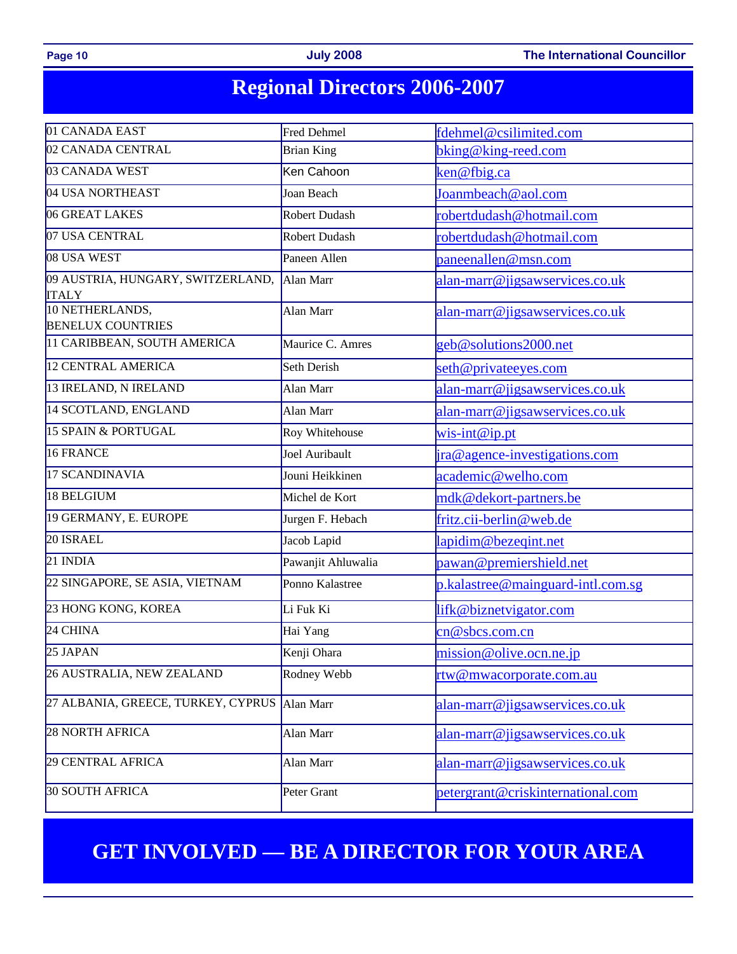Page 10 **Page 10 Page 10 July 2008 The International Councillor** 

### **Regional Directors 2006-2007**

| 01 CANADA EAST                                    | Fred Dehmel                         | fdehmel@csilimited.com            |  |  |
|---------------------------------------------------|-------------------------------------|-----------------------------------|--|--|
| 02 CANADA CENTRAL                                 | <b>Brian King</b>                   | bking@king-reed.com               |  |  |
| 03 CANADA WEST                                    | Ken Cahoon                          | ken@fbig.ca                       |  |  |
| 04 USA NORTHEAST                                  | Joan Beach                          | Joanmbeach@aol.com                |  |  |
| 06 GREAT LAKES                                    | Robert Dudash                       | robertdudash@hotmail.com          |  |  |
| 07 USA CENTRAL                                    | Robert Dudash                       | robertdudash@hotmail.com          |  |  |
| 08 USA WEST                                       | Paneen Allen<br>paneenallen@msn.com |                                   |  |  |
| 09 AUSTRIA, HUNGARY, SWITZERLAND,<br><b>ITALY</b> | Alan Marr                           | alan-marr@jigsawservices.co.uk    |  |  |
| 10 NETHERLANDS,<br><b>BENELUX COUNTRIES</b>       | Alan Marr                           | alan-marr@jigsawservices.co.uk    |  |  |
| 11 CARIBBEAN, SOUTH AMERICA                       | Maurice C. Amres                    | geb@solutions2000.net             |  |  |
| 12 CENTRAL AMERICA                                | Seth Derish                         | seth@privateeyes.com              |  |  |
| 13 IRELAND, N IRELAND                             | Alan Marr                           | alan-marr@jigsawservices.co.uk    |  |  |
| 14 SCOTLAND, ENGLAND                              | Alan Marr                           | alan-marr@jigsawservices.co.uk    |  |  |
| 15 SPAIN & PORTUGAL                               | Roy Whitehouse                      | $wis-int@ip.pt$                   |  |  |
| 16 FRANCE                                         | Joel Auribault                      | ira@agence-investigations.com     |  |  |
| 17 SCANDINAVIA                                    | Jouni Heikkinen                     | academic@welho.com                |  |  |
| 18 BELGIUM                                        | Michel de Kort                      | mdk@dekort-partners.be            |  |  |
| 19 GERMANY, E. EUROPE                             | Jurgen F. Hebach                    | fritz.cii-berlin@web.de           |  |  |
| 20 ISRAEL                                         | Jacob Lapid                         | lapidim@bezeqint.net              |  |  |
| 21 INDIA                                          | Pawanjit Ahluwalia                  | pawan@premiershield.net           |  |  |
| 22 SINGAPORE, SE ASIA, VIETNAM                    | Ponno Kalastree                     | p.kalastree@mainguard-intl.com.sg |  |  |
| 23 HONG KONG, KOREA                               | Li Fuk Ki                           | lifk@biznetvigator.com            |  |  |
| 24 CHINA                                          | Hai Yang                            | cn@sbcs.com.cn                    |  |  |
| 25 JAPAN                                          | Kenji Ohara                         | mission@olive.ocn.ne.jp           |  |  |
| 26 AUSTRALIA, NEW ZEALAND                         | Rodney Webb                         | rtw@mwacorporate.com.au           |  |  |
| 27 ALBANIA, GREECE, TURKEY, CYPRUS                | Alan Marr                           | alan-marr@jigsawservices.co.uk    |  |  |
| <b>28 NORTH AFRICA</b>                            | Alan Marr                           | alan-marr@jigsawservices.co.uk    |  |  |
| 29 CENTRAL AFRICA                                 | Alan Marr                           | alan-marr@jigsawservices.co.uk    |  |  |
| <b>30 SOUTH AFRICA</b>                            | Peter Grant                         | petergrant@criskinternational.com |  |  |

### **GET INVOLVED — BE A DIRECTOR FOR YOUR AREA**